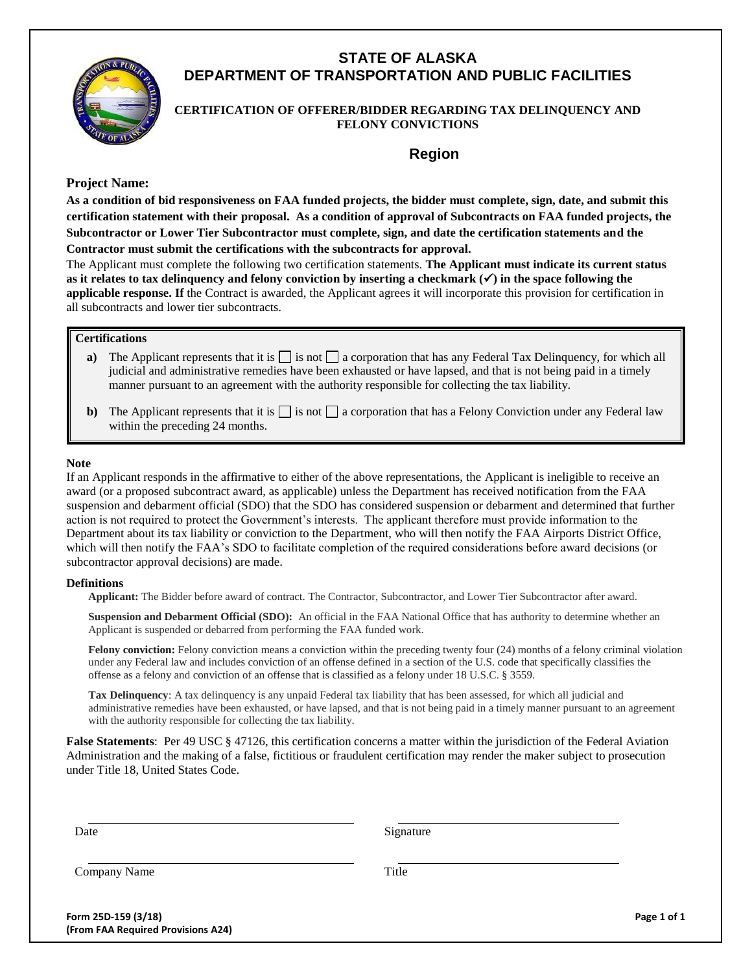

# **STATE OF ALASKA DEPARTMENT OF TRANSPORTATION AND PUBLIC FACILITIES**

# **CERTIFICATION OF OFFERER/BIDDER REGARDING TAX DELINQUENCY AND FELONY CONVICTIONS**

# **Region**

### **Project Name:**

**As a condition of bid responsiveness on FAA funded projects, the bidder must complete, sign, date, and submit this certification statement with their proposal. As a condition of approval of Subcontracts on FAA funded projects, the Subcontractor or Lower Tier Subcontractor must complete, sign, and date the certification statements and the Contractor must submit the certifications with the subcontracts for approval.**

The Applicant must complete the following two certification statements. **The Applicant must indicate its current status**  as it relates to tax delinquency and felony conviction by inserting a checkmark  $(\checkmark)$  in the space following the **applicable response. If** the Contract is awarded, the Applicant agrees it will incorporate this provision for certification in all subcontracts and lower tier subcontracts.

## **Certifications**

- **a**) The Applicant represents that it is  $\Box$  is not  $\Box$  a corporation that has any Federal Tax Delinquency, for which all judicial and administrative remedies have been exhausted or have lapsed, and that is not being paid in a timely manner pursuant to an agreement with the authority responsible for collecting the tax liability.
- **b**) The Applicant represents that it is  $\Box$  is not  $\Box$  a corporation that has a Felony Conviction under any Federal law within the preceding 24 months.

#### **Note**

If an Applicant responds in the affirmative to either of the above representations, the Applicant is ineligible to receive an award (or a proposed subcontract award, as applicable) unless the Department has received notification from the FAA suspension and debarment official (SDO) that the SDO has considered suspension or debarment and determined that further action is not required to protect the Government's interests. The applicant therefore must provide information to the Department about its tax liability or conviction to the Department, who will then notify the FAA Airports District Office, which will then notify the FAA's SDO to facilitate completion of the required considerations before award decisions (or subcontractor approval decisions) are made.

#### **Definitions**

**Applicant:** The Bidder before award of contract. The Contractor, Subcontractor, and Lower Tier Subcontractor after award.

**Suspension and Debarment Official (SDO):** An official in the FAA National Office that has authority to determine whether an Applicant is suspended or debarred from performing the FAA funded work.

**Felony conviction:** Felony conviction means a conviction within the preceding twenty four (24) months of a felony criminal violation under any Federal law and includes conviction of an offense defined in a section of the U.S. code that specifically classifies the offense as a felony and conviction of an offense that is classified as a felony under 18 U.S.C. § 3559.

**Tax Delinquency**: A tax delinquency is any unpaid Federal tax liability that has been assessed, for which all judicial and administrative remedies have been exhausted, or have lapsed, and that is not being paid in a timely manner pursuant to an agreement with the authority responsible for collecting the tax liability.

**False Statements**: Per 49 USC § 47126, this certification concerns a matter within the jurisdiction of the Federal Aviation Administration and the making of a false, fictitious or fraudulent certification may render the maker subject to prosecution under Title 18, United States Code.

Date Signature

Company Name Title